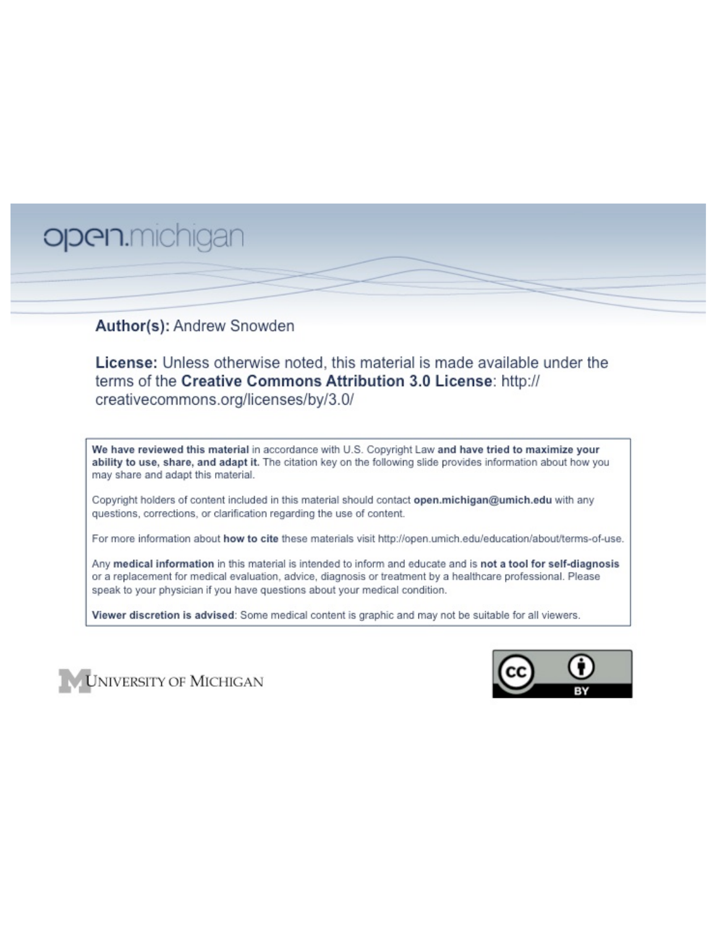# open.michigan

## Author(s): Andrew Snowden

License: Unless otherwise noted, this material is made available under the terms of the Creative Commons Attribution 3.0 License: http:// creativecommons.org/licenses/by/3.0/

We have reviewed this material in accordance with U.S. Copyright Law and have tried to maximize your ability to use, share, and adapt it. The citation key on the following slide provides information about how you may share and adapt this material.

Copyright holders of content included in this material should contact open.michigan@umich.edu with any questions, corrections, or clarification regarding the use of content.

For more information about how to cite these materials visit http://open.umich.edu/education/about/terms-of-use.

Any medical information in this material is intended to inform and educate and is not a tool for self-diagnosis or a replacement for medical evaluation, advice, diagnosis or treatment by a healthcare professional. Please speak to your physician if you have questions about your medical condition.

Viewer discretion is advised: Some medical content is graphic and may not be suitable for all viewers.



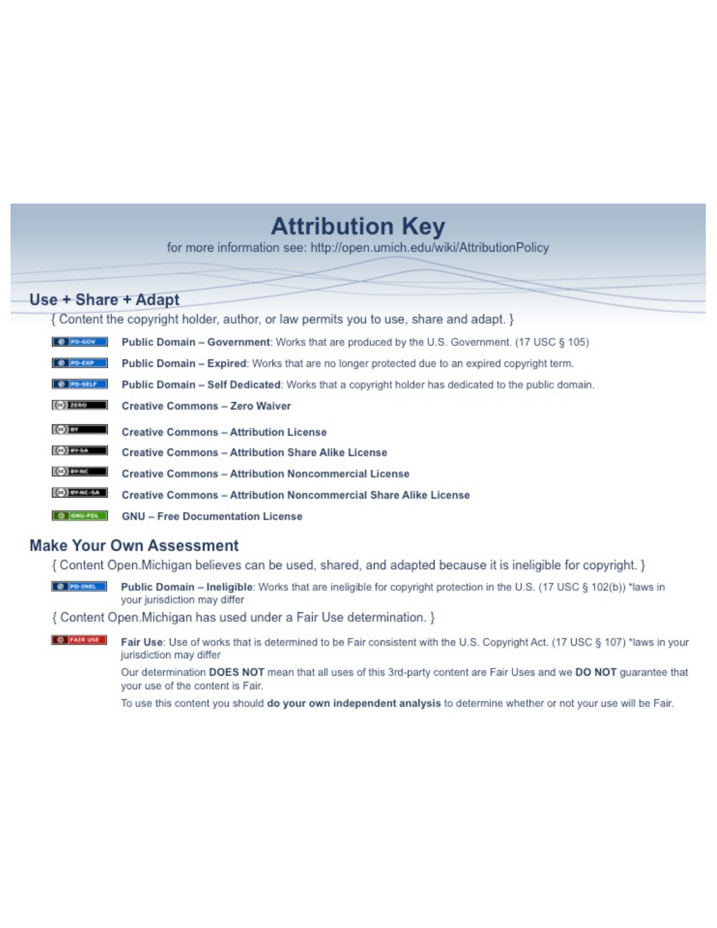## **Attribution Key**

for more information see: http://open.umich.edu/wiki/AttributionPolicy

## Use + Share + Adapt

{ Content the copyright holder, author, or law permits you to use, share and adapt. }

| @ PD-GOV                  | <b>Public Domain - Government:</b> Works that are produced by the U.S. Government. (17 USC § 105) |
|---------------------------|---------------------------------------------------------------------------------------------------|
| @ PD-EXP                  | Public Domain - Expired: Works that are no longer protected due to an expired copyright term.     |
| @ PO-SELF                 | Public Domain - Self Dedicated: Works that a copyright holder has dedicated to the public domain. |
| $(c2)$ 21110              | <b>Creative Commons - Zero Waiver</b>                                                             |
| $\left($ ce) $\right)$ my | <b>Creative Commons - Attribution License</b>                                                     |
| <b>CO</b> ITY-SA          | <b>Creative Commons - Attribution Share Alike License</b>                                         |
| <b>CO</b> BY-NC           | <b>Creative Commons - Attribution Noncommercial License</b>                                       |
| <b>CO</b> BY-NC-SA        | Creative Commons - Attribution Noncommercial Share Alike License                                  |
| GNU-FOL                   | <b>GNU - Free Documentation License</b>                                                           |

## **Make Your Own Assessment**

{ Content Open. Michigan believes can be used, shared, and adapted because it is ineligible for copyright. }

Public Domain - Ineligible: Works that are ineligible for copyright protection in the U.S. (17 USC § 102(b)) \*laws in your jurisdiction may differ

{ Content Open. Michigan has used under a Fair Use determination. }

**O** FAIR USE Fair Use: Use of works that is determined to be Fair consistent with the U.S. Copyright Act. (17 USC § 107) \*laws in your jurisdiction may differ

> Our determination DOES NOT mean that all uses of this 3rd-party content are Fair Uses and we DO NOT guarantee that your use of the content is Fair.

To use this content you should do your own independent analysis to determine whether or not your use will be Fair.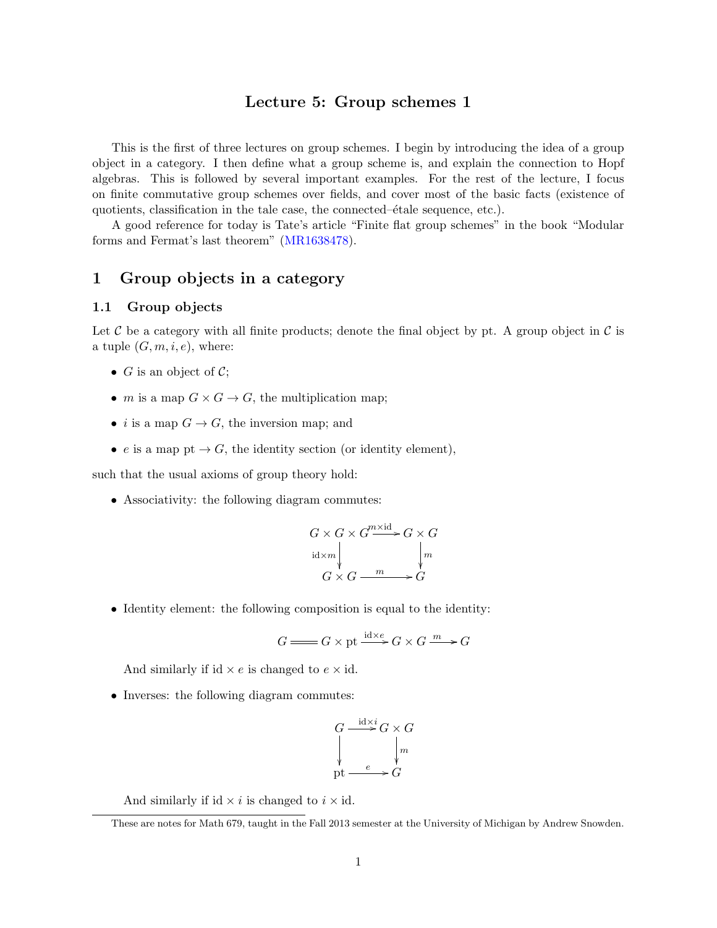## Lecture 5: Group schemes 1

This is the first of three lectures on group schemes. I begin by introducing the idea of a group object in a category. I then define what a group scheme is, and explain the connection to Hopf algebras. This is followed by several important examples. For the rest of the lecture, I focus on finite commutative group schemes over fields, and cover most of the basic facts (existence of quotients, classification in the tale case, the connected– $\acute{e}$ tale sequence, etc.).

A good reference for today is Tate's article "Finite flat group schemes" in the book "Modular forms and Fermat's last theorem" (MR1638478).

## 1 Group objects in a category

#### 1.1 Group objects

Let  $\mathcal C$  be a category with all finite products; denote the final object by pt. A group object in  $\mathcal C$  is a tuple  $(G, m, i, e)$ , where:

- $G$  is an object of  $C$ ;
- *m* is a map  $G \times G \rightarrow G$ , the multiplication map;
- *i* is a map  $G \to G$ , the inversion map; and
- *e* is a map pt  $\rightarrow G$ , the identity section (or identity element),

such that the usual axioms of group theory hold:

• Associativity: the following diagram commutes:

$$
G \times G \times G \xrightarrow{m \times id} G \times G
$$
  
id $\times m$   $\downarrow m$   

$$
G \times G \xrightarrow{m} G
$$

• Identity element: the following composition is equal to the identity:

$$
G \longrightarrow G \times \text{pt} \xrightarrow{\text{id} \times e} G \times G \xrightarrow{m} G
$$

And similarly if id  $\times e$  is changed to  $e \times id$ .

• Inverses: the following diagram commutes:

$$
G \xrightarrow{\text{id} \times i} G \times G
$$
  
\n
$$
\downarrow m
$$
  
\npt 
$$
\xrightarrow{e} G
$$

And similarly if id  $\times i$  is changed to  $i \times id$ .

These are notes for Math 679, taught in the Fall 2013 semester at the University of Michigan by Andrew Snowden.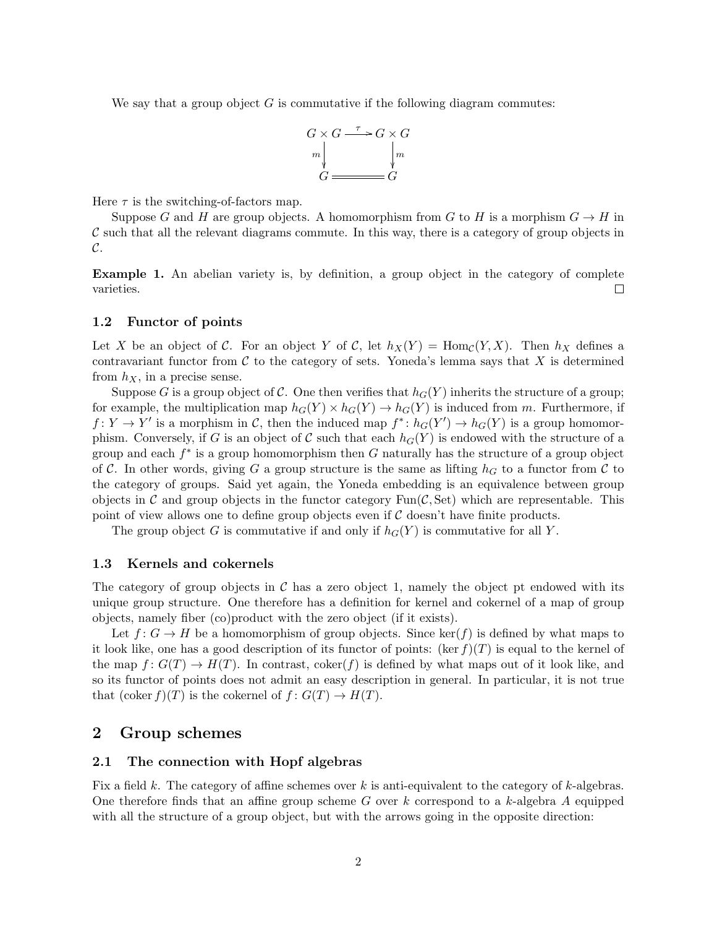We say that a group object  $G$  is commutative if the following diagram commutes:



Here  $\tau$  is the switching-of-factors map.

Suppose *G* and *H* are group objects. A homomorphism from *G* to *H* is a morphism  $G \to H$  in *C* such that all the relevant diagrams commute. In this way, there is a category of group objects in *C*.

Example 1. An abelian variety is, by definition, a group object in the category of complete  $\Box$ varieties.

#### 1.2 Functor of points

Let *X* be an object of *C*. For an object *Y* of *C*, let  $h_X(Y) = \text{Hom}_{\mathcal{C}}(Y,X)$ . Then  $h_X$  defines a contravariant functor from  $\mathcal C$  to the category of sets. Yoneda's lemma says that  $X$  is determined from  $h_X$ , in a precise sense.

Suppose *G* is a group object of *C*. One then verifies that  $h_G(Y)$  inherits the structure of a group; for example, the multiplication map  $h_G(Y) \times h_G(Y) \to h_G(Y)$  is induced from *m*. Furthermore, if  $f: Y \to Y'$  is a morphism in *C*, then the induced map  $f^* : h_G(Y') \to h_G(Y)$  is a group homomorphism. Conversely, if *G* is an object of *C* such that each  $h_G(Y)$  is endowed with the structure of a group and each  $f^*$  is a group homomorphism then  $G$  naturally has the structure of a group object of C. In other words, giving G a group structure is the same as lifting  $h_G$  to a functor from C to the category of groups. Said yet again, the Yoneda embedding is an equivalence between group objects in *C* and group objects in the functor category  $Fun(\mathcal{C}, \mathcal{S}et)$  which are representable. This point of view allows one to define group objects even if *C* doesn't have finite products.

The group object *G* is commutative if and only if  $h_G(Y)$  is commutative for all *Y*.

#### 1.3 Kernels and cokernels

The category of group objects in  $\mathcal C$  has a zero object 1, namely the object pt endowed with its unique group structure. One therefore has a definition for kernel and cokernel of a map of group objects, namely fiber (co)product with the zero object (if it exists).

Let  $f: G \to H$  be a homomorphism of group objects. Since ker(*f*) is defined by what maps to it look like, one has a good description of its functor of points: (ker  $f(T)$ ) is equal to the kernel of the map  $f: G(T) \to H(T)$ . In contrast, coker(*f*) is defined by what maps out of it look like, and so its functor of points does not admit an easy description in general. In particular, it is not true that  $(\text{coker } f)(T)$  is the cokernel of  $f: G(T) \to H(T)$ .

## 2 Group schemes

#### 2.1 The connection with Hopf algebras

Fix a field  $k$ . The category of affine schemes over  $k$  is anti-equivalent to the category of  $k$ -algebras. One therefore finds that an affine group scheme  $G$  over  $k$  correspond to a  $k$ -algebra  $A$  equipped with all the structure of a group object, but with the arrows going in the opposite direction: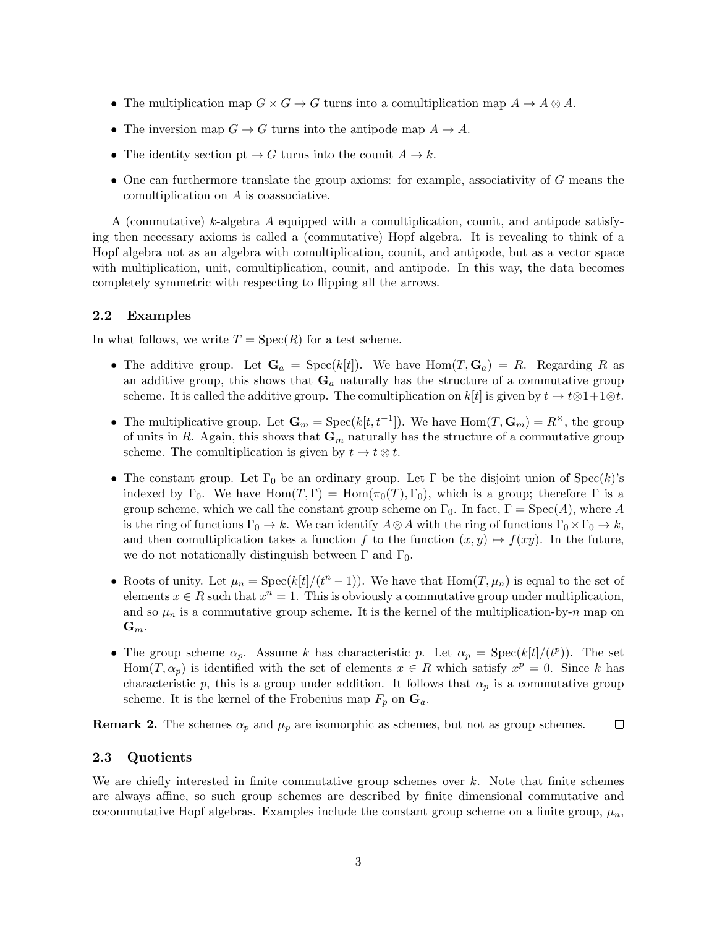- The multiplication map  $G \times G \to G$  turns into a comultiplication map  $A \to A \otimes A$ .
- The inversion map  $G \to G$  turns into the antipode map  $A \to A$ .
- The identity section  $pt \to G$  turns into the counit  $A \to k$ .
- One can furthermore translate the group axioms: for example, associativity of *G* means the comultiplication on *A* is coassociative.

A (commutative) *k*-algebra *A* equipped with a comultiplication, counit, and antipode satisfying then necessary axioms is called a (commutative) Hopf algebra. It is revealing to think of a Hopf algebra not as an algebra with comultiplication, counit, and antipode, but as a vector space with multiplication, unit, comultiplication, counit, and antipode. In this way, the data becomes completely symmetric with respecting to flipping all the arrows.

#### 2.2 Examples

In what follows, we write  $T = \text{Spec}(R)$  for a test scheme.

- The additive group. Let  $\mathbf{G}_a = \text{Spec}(k[t])$ . We have  $\text{Hom}(T, \mathbf{G}_a) = R$ . Regarding R as an additive group, this shows that G*<sup>a</sup>* naturally has the structure of a commutative group scheme. It is called the additive group. The comultiplication on  $k[t]$  is given by  $t \mapsto t \otimes 1 + 1 \otimes t$ .
- The multiplicative group. Let  $\mathbf{G}_m = \text{Spec}(k[t, t^{-1}])$ . We have  $\text{Hom}(T, \mathbf{G}_m) = R^\times$ , the group of units in *R*. Again, this shows that  $\mathbf{G}_m$  naturally has the structure of a commutative group scheme. The comultiplication is given by  $t \mapsto t \otimes t$ .
- The constant group. Let  $\Gamma_0$  be an ordinary group. Let  $\Gamma$  be the disjoint union of  $Spec(k)$ 's indexed by  $\Gamma_0$ . We have  $\text{Hom}(T,\Gamma) = \text{Hom}(\pi_0(T),\Gamma_0)$ , which is a group; therefore  $\Gamma$  is a group scheme, which we call the constant group scheme on  $\Gamma_0$ . In fact,  $\Gamma = \text{Spec}(A)$ , where A is the ring of functions  $\Gamma_0 \to k$ . We can identify  $A \otimes A$  with the ring of functions  $\Gamma_0 \times \Gamma_0 \to k$ , and then comultiplication takes a function  $f$  to the function  $(x, y) \mapsto f(xy)$ . In the future, we do not notationally distinguish between  $\Gamma$  and  $\Gamma_0$ .
- Roots of unity. Let  $\mu_n = \text{Spec}(k[t]/(t^n 1))$ . We have that  $\text{Hom}(T, \mu_n)$  is equal to the set of elements  $x \in R$  such that  $x^n = 1$ . This is obviously a commutative group under multiplication, and so  $\mu_n$  is a commutative group scheme. It is the kernel of the multiplication-by- $n$  map on  $\mathbf{G}_m$ .
- The group scheme  $\alpha_p$ . Assume *k* has characteristic *p*. Let  $\alpha_p = \text{Spec}(k[t]/(t^p))$ . The set  $Hom(T, \alpha_p)$  is identified with the set of elements  $x \in R$  which satisfy  $x^p = 0$ . Since *k* has characteristic p, this is a group under addition. It follows that  $\alpha_p$  is a commutative group scheme. It is the kernel of the Frobenius map  $F_p$  on  $\mathbf{G}_a$ .

**Remark 2.** The schemes  $\alpha_p$  and  $\mu_p$  are isomorphic as schemes, but not as group schemes.  $\Box$ 

#### 2.3 Quotients

We are chiefly interested in finite commutative group schemes over *k*. Note that finite schemes are always affine, so such group schemes are described by finite dimensional commutative and cocommutative Hopf algebras. Examples include the constant group scheme on a finite group,  $\mu_n$ ,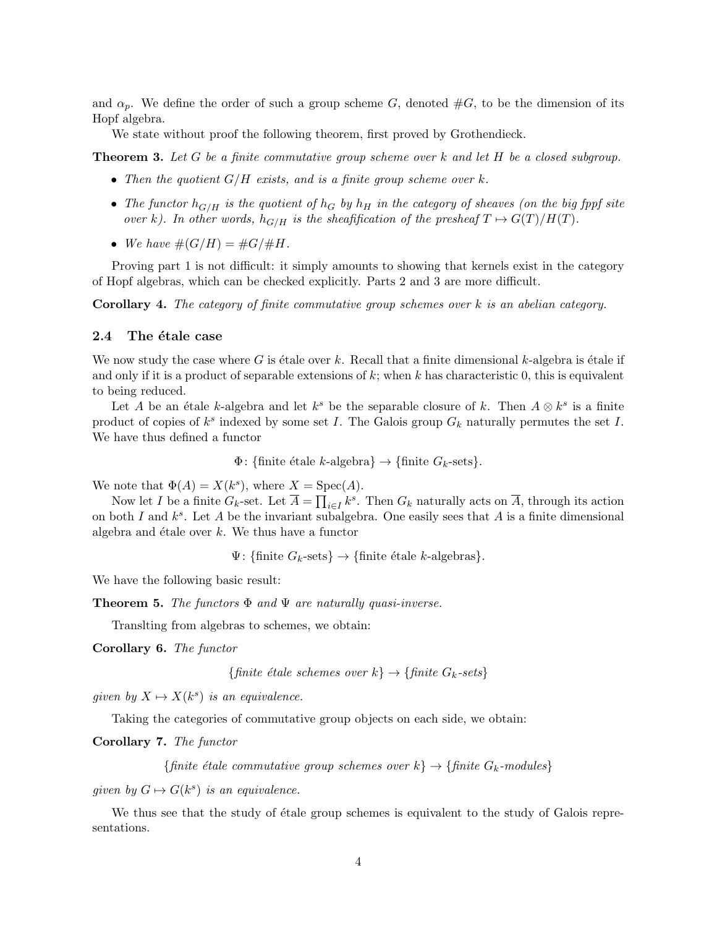and  $\alpha_p$ . We define the order of such a group scheme *G*, denoted  $#G$ , to be the dimension of its Hopf algebra.

We state without proof the following theorem, first proved by Grothendieck.

Theorem 3. *Let G be a finite commutative group scheme over k and let H be a closed subgroup.*

- *• Then the quotient G/H exists, and is a finite group scheme over k.*
- The functor  $h_{G/H}$  is the quotient of  $h_G$  by  $h_H$  in the category of sheaves (on the big fppf site *over k*). In other words,  $h_{G/H}$  is the sheafification of the presheaf  $T \mapsto G(T)/H(T)$ .
- We have  $\#(G/H) = \#G/\#H$ *.*

Proving part 1 is not difficult: it simply amounts to showing that kernels exist in the category of Hopf algebras, which can be checked explicitly. Parts 2 and 3 are more difficult.

Corollary 4. *The category of finite commutative group schemes over k is an abelian category.*

#### 2.4 The étale case

We now study the case where  $G$  is étale over  $k$ . Recall that a finite dimensional  $k$ -algebra is étale if and only if it is a product of separable extensions of *k*; when *k* has characteristic 0, this is equivalent to being reduced.

Let *A* be an étale *k*-algebra and let  $k^s$  be the separable closure of *k*. Then  $A \otimes k^s$  is a finite product of copies of *k<sup>s</sup>* indexed by some set *I*. The Galois group *G<sup>k</sup>* naturally permutes the set *I*. We have thus defined a functor

 $\Phi$ : {finite étale *k*-algebra}  $\rightarrow$  {finite  $G_k$ -sets}*.* 

We note that  $\Phi(A) = X(k^s)$ , where  $X = \text{Spec}(A)$ .

Now let *I* be a finite  $G_k$ -set. Let  $\overline{A} = \prod_{i \in I} k^s$ . Then  $G_k$  naturally acts on  $\overline{A}$ , through its action on both *I* and *ks*. Let *A* be the invariant subalgebra. One easily sees that *A* is a finite dimensional algebra and  $\acute{e}$ tale over  $k$ . We thus have a functor

 $\Psi$ : {finite  $G_k$ -sets}  $\rightarrow$  {finite étale *k*-algebras}*.* 

We have the following basic result:

**Theorem 5.** The functors  $\Phi$  and  $\Psi$  are naturally quasi-inverse.

Translting from algebras to schemes, we obtain:

Corollary 6. *The functor*

 ${finite \; étale \; schemes \; over \; k} \rightarrow {finite \; G_k\text{-sets}}$ 

*given by*  $X \mapsto X(k^s)$  *is an equivalence.* 

Taking the categories of commutative group objects on each side, we obtain:

Corollary 7. *The functor*

 ${finite \text{ } étale \text{ } commutative \text{ } group \text{ } schemes \text{ } over \text{ } k} \rightarrow {finite \text{ } G_k-models}$ 

*given by*  $G \mapsto G(k^s)$  *is an equivalence.* 

We thus see that the study of étale group schemes is equivalent to the study of Galois representations.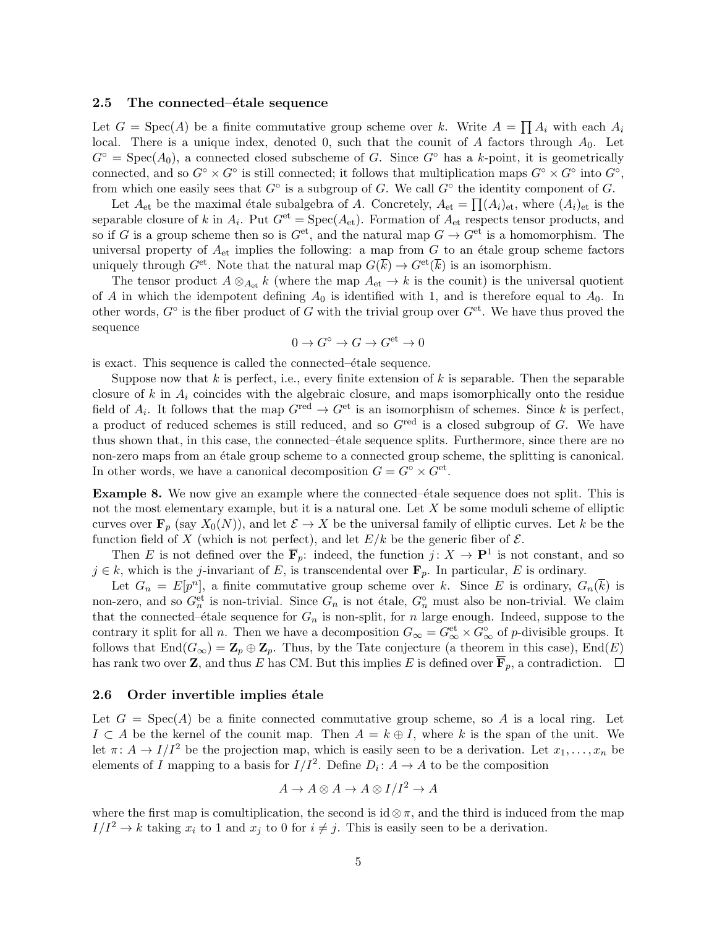#### 2.5 The connected– $\acute{e}$ tale sequence

Let  $G = \text{Spec}(A)$  be a finite commutative group scheme over k. Write  $A = \prod A_i$  with each  $A_i$ local. There is a unique index, denoted 0, such that the counit of *A* factors through *A*0. Let  $G^{\circ}$  = Spec( $A_0$ ), a connected closed subscheme of *G*. Since  $G^{\circ}$  has a *k*-point, it is geometrically connected, and so  $G^{\circ} \times G^{\circ}$  is still connected; it follows that multiplication maps  $G^{\circ} \times G^{\circ}$  into  $G^{\circ}$ , from which one easily sees that  $G^{\circ}$  is a subgroup of *G*. We call  $G^{\circ}$  the identity component of *G*.

Let  $A_{et}$  be the maximal étale subalgebra of *A*. Concretely,  $A_{et} = \prod (A_i)_{et}$ , where  $(A_i)_{et}$  is the separable closure of *k* in  $A_i$ . Put  $G^{et} = \text{Spec}(A_{et})$ . Formation of  $A_{et}$  respects tensor products, and so if *G* is a group scheme then so is  $G^{\text{et}}$ , and the natural map  $G \to G^{\text{et}}$  is a homomorphism. The universal property of  $A_{et}$  implies the following: a map from  $G$  to an étale group scheme factors uniquely through  $G^{\text{et}}$ . Note that the natural map  $G(\overline{k}) \to G^{\text{et}}(\overline{k})$  is an isomorphism.

The tensor product  $A \otimes_{A_{et}} k$  (where the map  $A_{et} \to k$  is the counit) is the universal quotient of *A* in which the idempotent defining  $A_0$  is identified with 1, and is therefore equal to  $A_0$ . In other words,  $G^{\circ}$  is the fiber product of G with the trivial group over  $G^{\text{et}}$ . We have thus proved the sequence

$$
0 \to G^{\circ} \to G \to G^{\text{et}} \to 0
$$

is exact. This sequence is called the connected– $\acute{e}$ tale sequence.

Suppose now that  $k$  is perfect, i.e., every finite extension of  $k$  is separable. Then the separable closure of *k* in *A<sup>i</sup>* coincides with the algebraic closure, and maps isomorphically onto the residue field of  $A_i$ . It follows that the map  $G^{\text{red}} \to G^{\text{et}}$  is an isomorphism of schemes. Since k is perfect, a product of reduced schemes is still reduced, and so *G*red is a closed subgroup of *G*. We have thus shown that, in this case, the connected– $\acute{e}$ tale sequence splits. Furthermore, since there are no non-zero maps from an étale group scheme to a connected group scheme, the splitting is canonical. In other words, we have a canonical decomposition  $G = G^{\circ} \times G^{\text{et}}$ .

**Example 8.** We now give an example where the connected– $\acute{e}$ tale sequence does not split. This is not the most elementary example, but it is a natural one. Let *X* be some moduli scheme of elliptic curves over  $\mathbf{F}_p$  (say  $X_0(N)$ ), and let  $\mathcal{E} \to X$  be the universal family of elliptic curves. Let k be the function field of X (which is not perfect), and let  $E/k$  be the generic fiber of  $\mathcal{E}$ .

Then *E* is not defined over the  $\overline{\mathbf{F}}_p$ : indeed, the function  $j: X \to \mathbf{P}^1$  is not constant, and so  $j \in k$ , which is the *j*-invariant of *E*, is transcendental over  $\mathbf{F}_p$ . In particular, *E* is ordinary.

Let  $G_n = E[p^n]$ , a finite commutative group scheme over k. Since E is ordinary,  $G_n(\overline{k})$  is non-zero, and so  $G_n^{\text{et}}$  is non-trivial. Since  $G_n$  is not étale,  $G_n^{\circ}$  must also be non-trivial. We claim that the connected– $\acute{e}$ tale sequence for  $G_n$  is non-split, for *n* large enough. Indeed, suppose to the contrary it split for all *n*. Then we have a decomposition  $G_{\infty} = G_{\infty}^{\text{et}} \times G_{\infty}^{\circ}$  of *p*-divisible groups. It follows that  $\text{End}(G_{\infty}) = \mathbb{Z}_p \oplus \mathbb{Z}_p$ . Thus, by the Tate conjecture (a theorem in this case),  $\text{End}(E)$ has rank two over **Z**, and thus *E* has CM. But this implies *E* is defined over  $\overline{\mathbf{F}}_p$ , a contradiction.  $\Box$ 

#### 2.6 Order invertible implies étale

Let  $G = \text{Spec}(A)$  be a finite connected commutative group scheme, so A is a local ring. Let  $I \subset A$  be the kernel of the counit map. Then  $A = k \oplus I$ , where k is the span of the unit. We let  $\pi: A \to I/I^2$  be the projection map, which is easily seen to be a derivation. Let  $x_1, \ldots, x_n$  be elements of *I* mapping to a basis for  $I/I^2$ . Define  $D_i: A \to A$  to be the composition

$$
A \to A \otimes A \to A \otimes I/I^2 \to A
$$

where the first map is comultiplication, the second is  $id \otimes \pi$ , and the third is induced from the map  $I/I^2 \to k$  taking  $x_i$  to 1 and  $x_j$  to 0 for  $i \neq j$ . This is easily seen to be a derivation.